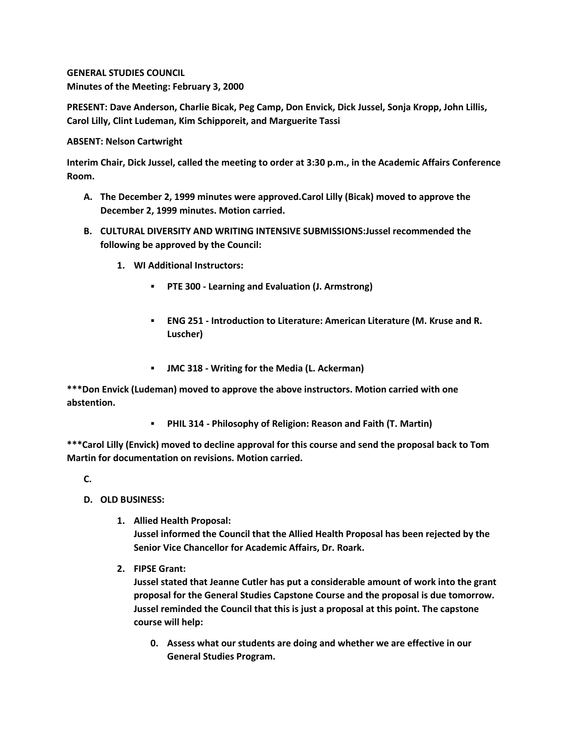**GENERAL STUDIES COUNCIL Minutes of the Meeting: February 3, 2000**

**PRESENT: Dave Anderson, Charlie Bicak, Peg Camp, Don Envick, Dick Jussel, Sonja Kropp, John Lillis, Carol Lilly, Clint Ludeman, Kim Schipporeit, and Marguerite Tassi**

**ABSENT: Nelson Cartwright**

**Interim Chair, Dick Jussel, called the meeting to order at 3:30 p.m., in the Academic Affairs Conference Room.**

- **A. The December 2, 1999 minutes were approved.Carol Lilly (Bicak) moved to approve the December 2, 1999 minutes. Motion carried.**
- **B. CULTURAL DIVERSITY AND WRITING INTENSIVE SUBMISSIONS:Jussel recommended the following be approved by the Council:** 
	- **1. WI Additional Instructors:** 
		- **PTE 300 - Learning and Evaluation (J. Armstrong)**
		- **ENG 251 - Introduction to Literature: American Literature (M. Kruse and R. Luscher)**
		- **JMC 318 - Writing for the Media (L. Ackerman)**

**\*\*\*Don Envick (Ludeman) moved to approve the above instructors. Motion carried with one abstention.** 

**PHIL 314 - Philosophy of Religion: Reason and Faith (T. Martin)**

**\*\*\*Carol Lilly (Envick) moved to decline approval for this course and send the proposal back to Tom Martin for documentation on revisions. Motion carried.**

**C.**

- **D. OLD BUSINESS:**
	- **1. Allied Health Proposal: Jussel informed the Council that the Allied Health Proposal has been rejected by the Senior Vice Chancellor for Academic Affairs, Dr. Roark.**
	- **2. FIPSE Grant:**

**Jussel stated that Jeanne Cutler has put a considerable amount of work into the grant proposal for the General Studies Capstone Course and the proposal is due tomorrow. Jussel reminded the Council that this is just a proposal at this point. The capstone course will help:** 

**0. Assess what our students are doing and whether we are effective in our General Studies Program.**